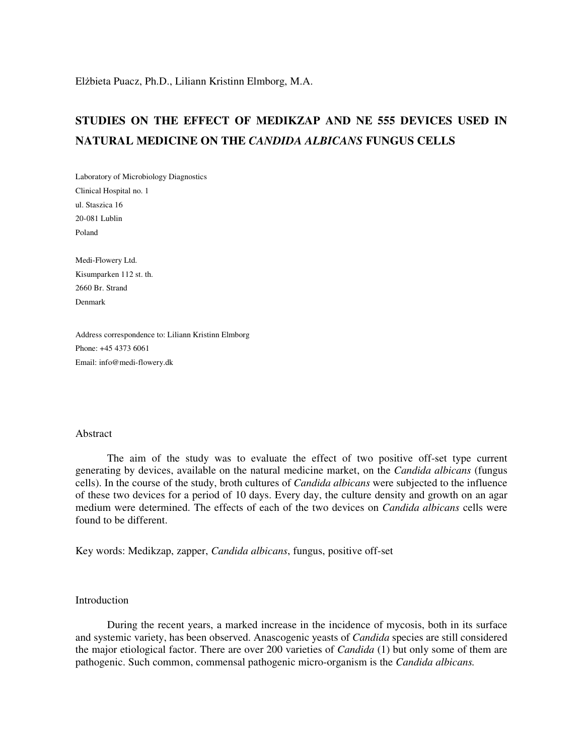# **STUDIES ON THE EFFECT OF MEDIKZAP AND NE 555 DEVICES USED IN NATURAL MEDICINE ON THE** *CANDIDA ALBICANS* **FUNGUS CELLS**

Laboratory of Microbiology Diagnostics Clinical Hospital no. 1 ul. Staszica 16 20-081 Lublin Poland

Medi-Flowery Ltd. Kisumparken 112 st. th. 2660 Br. Strand Denmark

Address correspondence to: Liliann Kristinn Elmborg Phone: +45 4373 6061 Email: info@medi-flowery.dk

#### Abstract

The aim of the study was to evaluate the effect of two positive off-set type current generating by devices, available on the natural medicine market, on the *Candida albicans* (fungus cells). In the course of the study, broth cultures of *Candida albicans* were subjected to the influence of these two devices for a period of 10 days. Every day, the culture density and growth on an agar medium were determined. The effects of each of the two devices on *Candida albicans* cells were found to be different.

Key words: Medikzap, zapper, *Candida albicans*, fungus, positive off-set

## **Introduction**

During the recent years, a marked increase in the incidence of mycosis, both in its surface and systemic variety, has been observed. Anascogenic yeasts of *Candida* species are still considered the major etiological factor. There are over 200 varieties of *Candida* (1) but only some of them are pathogenic. Such common, commensal pathogenic micro-organism is the *Candida albicans.*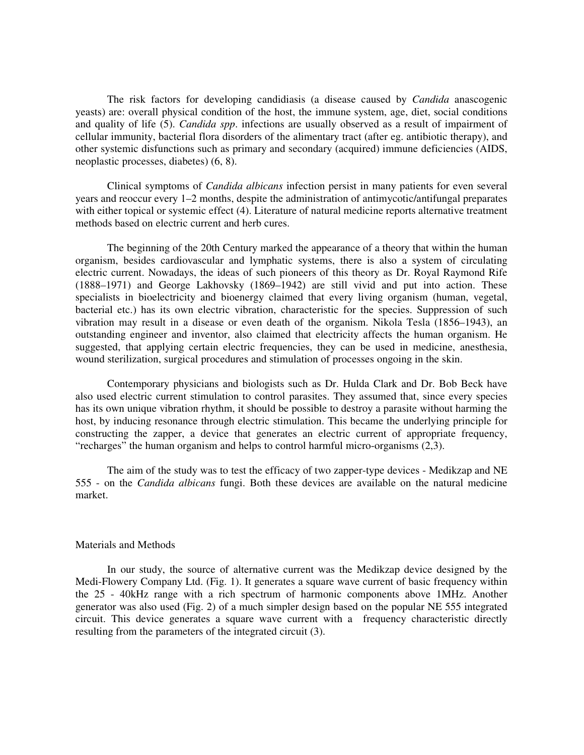The risk factors for developing candidiasis (a disease caused by *Candida* anascogenic yeasts) are: overall physical condition of the host, the immune system, age, diet, social conditions and quality of life (5). *Candida spp*. infections are usually observed as a result of impairment of cellular immunity, bacterial flora disorders of the alimentary tract (after eg. antibiotic therapy), and other systemic disfunctions such as primary and secondary (acquired) immune deficiencies (AIDS, neoplastic processes, diabetes) (6, 8).

Clinical symptoms of *Candida albicans* infection persist in many patients for even several years and reoccur every 1–2 months, despite the administration of antimycotic/antifungal preparates with either topical or systemic effect (4). Literature of natural medicine reports alternative treatment methods based on electric current and herb cures.

The beginning of the 20th Century marked the appearance of a theory that within the human organism, besides cardiovascular and lymphatic systems, there is also a system of circulating electric current. Nowadays, the ideas of such pioneers of this theory as Dr. Royal Raymond Rife (1888–1971) and George Lakhovsky (1869–1942) are still vivid and put into action. These specialists in bioelectricity and bioenergy claimed that every living organism (human, vegetal, bacterial etc.) has its own electric vibration, characteristic for the species. Suppression of such vibration may result in a disease or even death of the organism. Nikola Tesla (1856–1943), an outstanding engineer and inventor, also claimed that electricity affects the human organism. He suggested, that applying certain electric frequencies, they can be used in medicine, anesthesia, wound sterilization, surgical procedures and stimulation of processes ongoing in the skin.

Contemporary physicians and biologists such as Dr. Hulda Clark and Dr. Bob Beck have also used electric current stimulation to control parasites. They assumed that, since every species has its own unique vibration rhythm, it should be possible to destroy a parasite without harming the host, by inducing resonance through electric stimulation. This became the underlying principle for constructing the zapper, a device that generates an electric current of appropriate frequency, "recharges" the human organism and helps to control harmful micro-organisms (2,3).

The aim of the study was to test the efficacy of two zapper-type devices - Medikzap and NE 555 - on the *Candida albicans* fungi. Both these devices are available on the natural medicine market.

### Materials and Methods

In our study, the source of alternative current was the Medikzap device designed by the Medi-Flowery Company Ltd. (Fig. 1). It generates a square wave current of basic frequency within the 25 - 40kHz range with a rich spectrum of harmonic components above 1MHz. Another generator was also used (Fig. 2) of a much simpler design based on the popular NE 555 integrated circuit. This device generates a square wave current with a frequency characteristic directly resulting from the parameters of the integrated circuit (3).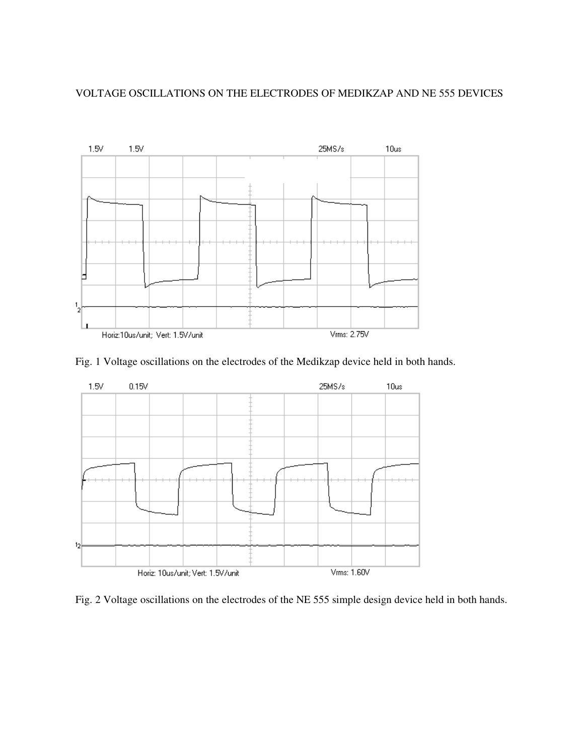## VOLTAGE OSCILLATIONS ON THE ELECTRODES OF MEDIKZAP AND NE 555 DEVICES



Fig. 1 Voltage oscillations on the electrodes of the Medikzap device held in both hands.



Fig. 2 Voltage oscillations on the electrodes of the NE 555 simple design device held in both hands.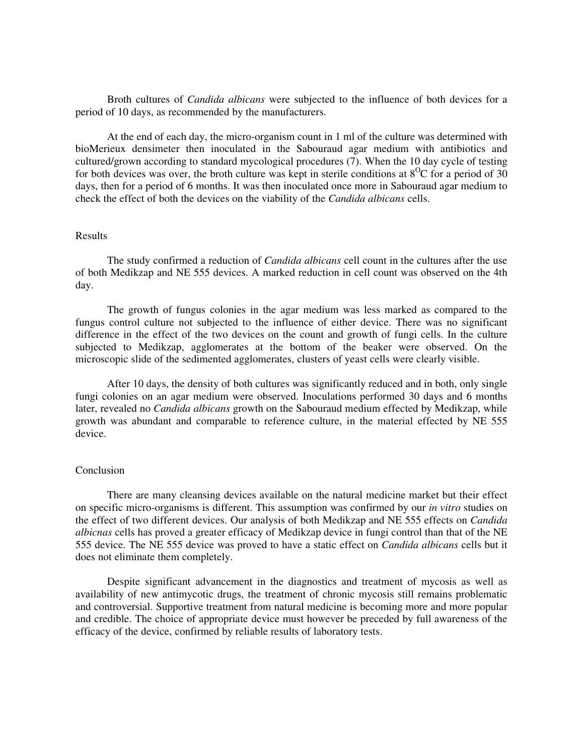Broth cultures of *Candida albicans* were subjected to the influence of both devices for a period of 10 days, as recommended by the manufacturers.

At the end of each day, the micro-organism count in 1 ml of the culture was determined with bioMerieux densimeter then inoculated in the Sabouraud agar medium with antibiotics and cultured/grown according to standard mycological procedures (7). When the 10 day cycle of testing for both devices was over, the broth culture was kept in sterile conditions at  $8^{0}C$  for a period of 30 days, then for a period of 6 months. It was then inoculated once more in Sabouraud agar medium to check the effect of both the devices on the viability of the *Candida albicans* cells.

## Results

The study confirmed a reduction of *Candida albicans* cell count in the cultures after the use of both Medikzap and NE 555 devices. A marked reduction in cell count was observed on the 4th day.

The growth of fungus colonies in the agar medium was less marked as compared to the fungus control culture not subjected to the influence of either device. There was no significant difference in the effect of the two devices on the count and growth of fungi cells. In the culture subjected to Medikzap, agglomerates at the bottom of the beaker were observed. On the microscopic slide of the sedimented agglomerates, clusters of yeast cells were clearly visible.

After 10 days, the density of both cultures was significantly reduced and in both, only single fungi colonies on an agar medium were observed. Inoculations performed 30 days and 6 months later, revealed no *Candida albicans* growth on the Sabouraud medium effected by Medikzap, while growth was abundant and comparable to reference culture, in the material effected by NE 555 device.

#### Conclusion

There are many cleansing devices available on the natural medicine market but their effect on specific micro-organisms is different. This assumption was confirmed by our *in vitro* studies on the effect of two different devices. Our analysis of both Medikzap and NE 555 effects on *Candida albicnas* cells has proved a greater efficacy of Medikzap device in fungi control than that of the NE 555 device. The NE 555 device was proved to have a static effect on *Candida albicans* cells but it does not eliminate them completely.

Despite significant advancement in the diagnostics and treatment of mycosis as well as availability of new antimycotic drugs, the treatment of chronic mycosis still remains problematic and controversial. Supportive treatment from natural medicine is becoming more and more popular and credible. The choice of appropriate device must however be preceded by full awareness of the efficacy of the device, confirmed by reliable results of laboratory tests.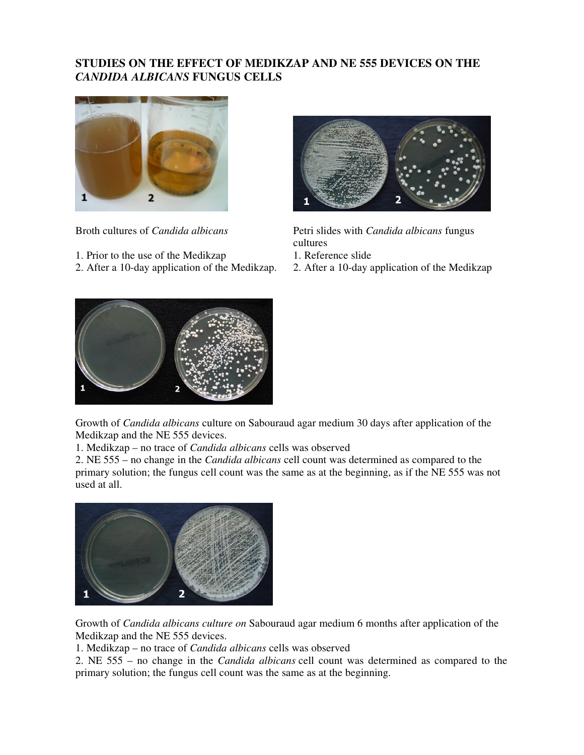## **STUDIES ON THE EFFECT OF MEDIKZAP AND NE 555 DEVICES ON THE**  *CANDIDA ALBICANS* **FUNGUS CELLS**



- 1. Prior to the use of the Medikzap 1. Reference slide
- 2. After a 10-day application of the Medikzap. 2. After a 10-day application of the Medikzap



Broth cultures of *Candida albicans* Petri slides with *Candida albicans* fungus cultures

- 
- 



Growth of *Candida albicans* culture on Sabouraud agar medium 30 days after application of the Medikzap and the NE 555 devices.

1. Medikzap – no trace of *Candida albicans* cells was observed

2. NE 555 – no change in the *Candida albicans* cell count was determined as compared to the primary solution; the fungus cell count was the same as at the beginning, as if the NE 555 was not used at all.



Growth of *Candida albicans culture on* Sabouraud agar medium 6 months after application of the Medikzap and the NE 555 devices.

1. Medikzap – no trace of *Candida albicans* cells was observed

2. NE 555 – no change in the *Candida albicans* cell count was determined as compared to the primary solution; the fungus cell count was the same as at the beginning.